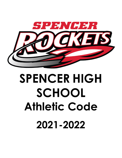

# **SPENCER HIGH SCHOOL Athletic Code 2021-2022**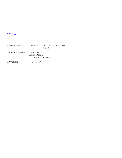#### [375-Rule](http://www.spencer.k12.wi.us/New%20Board%20Policies/Series_300.htm#Home#Home)

LEGAL REFERENCE: Sections 118.13 Wisconsin Statutes 120.13(1) CROSS REFERENCE: 373-Rule Athletic Code WIAA Handbook

APPROVED: 6/16/2021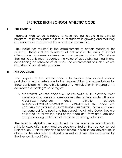## **SPENCER HIGH SCHOOL ATHLETIC CODE**

#### **I. PHILOSOPHY**

Spencer High School is happy to have you participate in its athletic program. Its primary purpose is to assist students in growing and maturing into responsible members of the school and community.

This belief has resulted in the establishment of certain standards for students. These include standards of behavior in the area of school attendance, academic achievement and proper conduct. We believe that participants must recognize the value of good physical health and conditioning be followed at all times. The enforcement of such rules are important to our athletic program.

#### **II. INTRODUCTION**

The purpose of this athletic code is to provide parents and student participants with a reference to the responsibilities and expectations for those participating in the athletic program. Participation in this program is considered a "privilege" not a "right."

➢ THE SPENCER ATHLETIC CODE SHALL BE FOLLOWED BY **ALL** PARTICIPANTS OF INTERSCHOLASTIC ATHLETICS, CHEERLEADERS. The athletic code will apply AT ALL TIMES (throughout one's athletic career), IN-SEASON AS WELL AS OUT-OF-SEASON. VIOLATIONS of this code are ACCUMULATIVE OVER THE STUDENT'S SENIOR HIGH CAREER. Once a student has gone out for a sport and has signed the Athletic Code, they are obligated to follow the rules of the code until they graduate and complete spring athletics that continue on after graduation.

 The rules of eligibility are established by the Wisconsin Interscholastic Athletic Association (WIAA) and are supplemented by the Spencer School District rules. Athletes planning to participate in high school athletics must abide by the WIAA rules of eligibility as well as those rules established by the Spencer School District.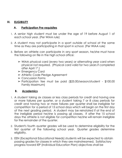#### **III. ELIGIBILITY**

#### **A. Participation Pre-requisites**

- 1. A senior high student must be under the age of 19 before August 1 of each school year. (Per WIAA rule)
- 2. A student may not participate in a sport outside of school at the same time as they are participating in that sport in school. (Per WIAA rule)
- 3. Before an athlete can participate in any sport season, he/she must have the following on file in the high school office:
	- ➢ WIAA physical card (every two years) or alternating year card when physical not required. (Physical card valid for two years if completed after April 1st.)
	- ➢ Emergency Card
	- ➢ Athletic Code Pledge Agreement
	- ➢ Concussion Forms
	- ➢ Participation fee must be paid (\$25.00/season/student \$100.00 Family Maximum)

## **B. Academics**

- 1. A student taking six classes or less class periods for credit and having one or more failures per quarter, or a student taking 7 or 8 class periods for credit and having two or more failures per quarter shall be ineligible for competition for a period of 15 school days which will begin on the first day of the next grading period. A student may be reinstated if at the end of the ineligible period he/she is passing all classes. If after the 15 school days the athlete is not eligible for competition he/she will remain ineligible for the remainder of the quarter.
- 2. Student's fourth quarter grades will be used to determine eligibility for the first quarter of the following school year. Quarter grades determine eligibility.
- 3. EEN (Exceptional Educational Needs) students will be expected to obtain passing grades for classes in which they are mainstreamed. Satisfactory progress toward IEP (Individual Education Plan) objectives shall be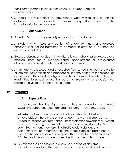considered passing in classes for which EEN students are not mainstreamed.

4. Students are responsible for any school work missed due to athletic activities. They are expected to make every effort to contact the instructor prior to the absence.

## **C. Attendance**

- 1. A student's primary responsibility is academic attendance.
- 2. A student who misses any portion of a day for illness or unexcused absence shall not be permitted to compete in practice or a scheduled contest on that day.
- 3. Excused absences for death in family, religious holiday, prior excused or a medical note for a medical/dental appointment or pre-excused absences will allow students to participate or compete.
- 4. An athlete who is suspended or expelled from school shall be ineligible for all athletic competition and practices during the period of the suspension or expulsion. They shall be eligible for athletic competition when they are readmitted to school, unless the reason for suspension or expulsion was based on a violation of the athletic code.

## **IV. CONDUCT**

## **A. Expectations**

- 1. It is expected that the high school athlete will abide by the ATHLETIC CODE throughout the calendar year (January 1 – December 31).
- 2. Athletes shall refrain from conduct or habits that would reflect unfavorably on the athlete or the school. This may include (but not limited to) suspension from school, insubordination towards faculty/staff, harassment, hazing, discrimination, or other acts prohibited by Wis. Law. Such actions may result in athletic code violations and suspensions will be determined by the school's athletic board not to exceed the first violation of any sport. This will not be considered as a 1<sup>st</sup> offense of the substance abuse violation of the athletic code.
- 3. An athlete shall be subject to disciplinary action at any time for violations involving the use, possession, buying or selling of alcohol,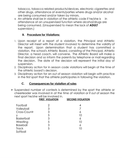tobacco, tobacco related products/devices, electronic cigarettes and other drugs, attendance at events/parties where drugs and/or alcohol are being consumed and/or taken by minors.

4. An athlete shall be in violation of the athletic code if he/she is in attendance at an unsupervised function where alcohol/drugs are being consumed. (Unsupervised to mean the lack of **ADULT** supervision.)

## **B. Procedure for Violations:**

- 1. Upon receipt of a report of a violation, the Principal and Athletic Director will meet with the student involved to determine the validity of the report. Upon determination that a student has committed a violation, the school's Athletic Board, consisting of the Principal, Athletic Director, a head coach, will convene. The Athletic Board will make a final decision and so inform the parents by telephone or mail regarding the decision. The date of the decision will represent the initial day of suspension.
- 2. Disciplinary action for in season code violations will begin at the time of the athletic board's decision.
- 3. Disciplinary action for an out of season violation will begin with practice in the first sport that the athlete participates in following the violation.

## **C. Consequences for violation of rules**

➢ Suspended number of contests is determined by the sport the athlete or cheerleader was involved in at the time of violation or if out of season the next sport he/she will be involved in.

|                   | <b>FIRST VIOLATION</b> | <b>SECOND VIOLATION</b> |
|-------------------|------------------------|-------------------------|
| Football          | 2                      |                         |
| Volleyball        | 3                      |                         |
| Cross-Countr      | 3                      | 6                       |
|                   | 5                      | 10                      |
| <b>Basketball</b> | 3                      | 6                       |
| Wrestling         | 5                      | 10                      |
| <b>Baseball</b>   | 3                      | 6                       |
| <b>Track</b>      | 5                      | 10                      |
| Softball          |                        |                         |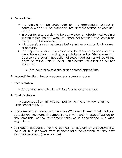#### **1. First violation**

- $\ge$  The athlete will be suspended for the appropriate number of contests which will be extended into another season or year until served.
- ➢ In order for a suspension to be completed, an athlete must begin a season within the first week of scheduled practice and remain on the team for the entire season.
- ➢ All suspensions must be served before further participation in games or contests.
- $\triangleright$  The suspension, for a 1<sup>st</sup> violation may be reduced by one contest if the athlete agrees in writing to participate in the Brief Intervention Counseling program. Reduction of suspended games will be at the discretion of the Athletic Board. This program would include, but not limited to:
	- **●** Two counseling sessions, or as deemed appropriate.
- **2. Second Violation**: See consequences on previous page

#### **3. Third violation**

➢ Suspended from athletic activities for one calendar year.

#### **4. Fourth violation**

 $\geq$  Suspended from athletic competition for the remainder of his/her High School eligibility.

- **▪** If any suspension carries into the WIAA (Wisconsin Inter-scholastic Athletic Association) tournament competitions, it will result in disqualification for the remainder of the tournament series as in accordance with WIAA regulations.
- **▪** A student disqualified from a contest for flagrant or unsportsmanlike conduct is suspended from interscholastic competition for the next competitive event. (Per WIAA rule)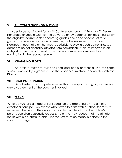## **V. ALL CONFERENCE NOMINATIONS**

In order to be nominated for an All-Conference honors ( $1<sup>st</sup>$  Team or  $2<sup>nd</sup>$  Team, Honorable or Special Mention) to be voted on by coaches, athletes must satisfy the eligibility requirements concerning grades and code of conduct for all games, conference and non-conference, for the entire season involved. Nominees need not play, but must be eligible to play in each game. Excused absences do not disqualify athletes from nomination. Athletes involved in an ineligibility period which overlaps two seasons, may be considered for nomination in the second season.

### **VI. CHANGING SPORTS**

An athlete may not quit one sport and begin another during the same season except by agreement of the coaches involved and/or the Athletic Director.

#### **VII. DUAL PARTICIPATION**

An athlete may compete in more than one sport during a given season only by agreement of the coaches involved.

#### **VIII. TRAVEL**

Athletes must use a mode of transportation pre-approved by the athletic director or principal. An athlete who travels to a site with a school team must return with the team. The only exception to this rule is that if the athlete's parent/guardian personally requests, he or she may request that the athlete return with a parent/guardian. This request must be made in person to the coach in charge.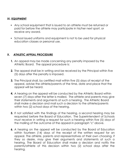#### **IX. EQUIPMENT**

- **▪** Any school equipment that is issued to an athlete must be returned or paid for before the athlete may participate in his/her next sport, or receive any award.
- **▪** School issued uniforms and equipment is not to be used for physical education classes or personal use.

#### **X. ATHLETIC APPEAL PROCEDURE**

- **1.** An appeal may be made concerning any penalty imposed by the Athletic Board. The appeal procedure is:
- **2.** The appeal shall be in writing and be received by the Principal within five (5) days after the penalty is imposed.
- **3.** The Principal shall, by certified mail within five (5) days of receipt of the appeal, advise the athlete/parents of the time, date and place that the appeal will be heard.
- **4.** A hearing on the appeal will be conducted by the Athletic Board within seven (7) days after the letter is mailed. The athlete and parents may give their statements and arguments at such a hearing. The Athletic Board shall make a decision and mail such a decision to the athlete/parents within two (2) school days of the hearing.
- **5.** If not satisfied with the findings of the hearing, a second hearing may be requested before the Board of Education. The Superintendent of Schools must receive in writing a request for such a hearing within five (5) days of the mailing of the outcome of the appeal in paragraph "c" above.
- **6.** A hearing on the appeal will be conducted by the Board of Education within fourteen (14) days of the receipt of the written request for an appeal. The athlete, parents and representatives of their own choosing, if they so desire, may give their arguments and statements at such a hearing. The Board of Education shall make a decision and notify the parents/athlete of this decision within two (2) school days after the hearing.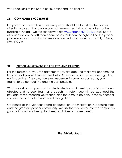\*\*\*All decisions of the Board of Education shall be final.\*\*\*

#### **XI. COMPLAINT PROCEDURES**

If a parent or student has issues every effort should be to first resolve parties directly involved. If a solution can not be reached it should be taken to the building principal. On the school web site [www.spencer.k12.wi.us](http://www.spencer.k12.wi.us/) click Board of Education on the left then board policy folder on the right to find the proper procedures for complaints information can be found under policy 411, 411rule, 870, 870rule.

## **XII. PLEDGE AGREEMENT OF ATHLETES AND PARENTS**

For the majority of you, the agreement you are about to make will become the first contract you will have entered into. Our expectations of you are high, but not impossible. They are, however, necessary in order for our teams, your teams, to be competitive and the best possible.

What we ask for on your part is a dedicated commitment to your fellow student athletes and to your team and coach. In return you will be extended the privilege of representing your school and for some to be able to receive school, conference and state awards and recognition.

On behalf of the Spencer Board of Education, Administration, Coaching Staff, and the greater Spencer community, we ask that you enter into this contract in good faith and fully live up to all responsibilities and rules herein.